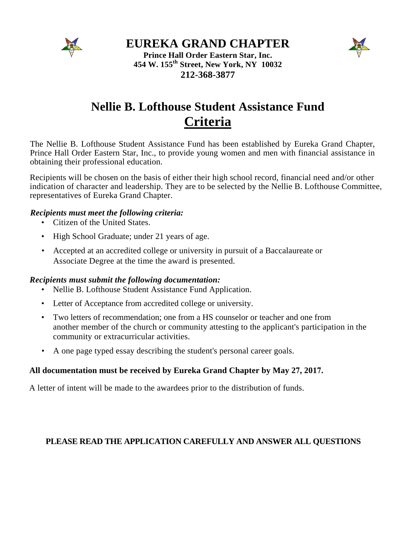

### **EUREKA GRAND CHAPTER**



**Prince Hall Order Eastern Star, Inc. 454 W. 155th Street, New York, NY 10032 212-368-3877**

# **Nellie B. Lofthouse Student Assistance Fund Criteria**

The Nellie B. Lofthouse Student Assistance Fund has been established by Eureka Grand Chapter, Prince Hall Order Eastern Star, Inc., to provide young women and men with financial assistance in obtaining their professional education.

Recipients will be chosen on the basis of either their high school record, financial need and/or other indication of character and leadership. They are to be selected by the Nellie B. Lofthouse Committee, representatives of Eureka Grand Chapter.

#### *Recipients must meet the following criteria:*

- Citizen of the United States.
- High School Graduate; under 21 years of age.
- Accepted at an accredited college or university in pursuit of a Baccalaureate or Associate Degree at the time the award is presented.

#### *Recipients must submit the following documentation:*

- Nellie B. Lofthouse Student Assistance Fund Application.
- Letter of Acceptance from accredited college or university.
- Two letters of recommendation; one from a HS counselor or teacher and one from another member of the church or community attesting to the applicant's participation in the community or extracurricular activities.
- A one page typed essay describing the student's personal career goals.

#### **All documentation must be received by Eureka Grand Chapter by May 27, 2017.**

A letter of intent will be made to the awardees prior to the distribution of funds.

#### **PLEASE READ THE APPLICATION CAREFULLY AND ANSWER ALL QUESTIONS**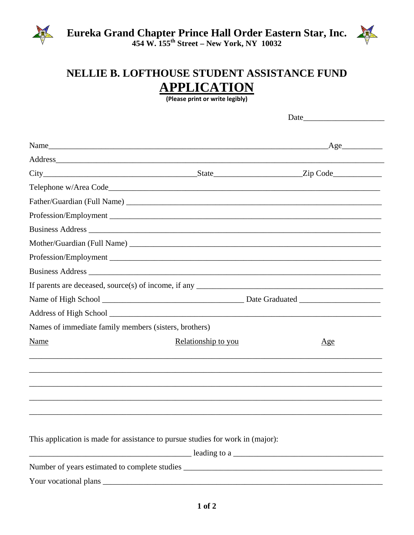



## NELLIE B. LOFTHOUSE STUDENT ASSISTANCE FUND **APPLICATION**

(Please print or write legibly)

|                                                       |                                                                                                                                                                                                                                                                       | Age |  |
|-------------------------------------------------------|-----------------------------------------------------------------------------------------------------------------------------------------------------------------------------------------------------------------------------------------------------------------------|-----|--|
| Address                                               |                                                                                                                                                                                                                                                                       |     |  |
|                                                       |                                                                                                                                                                                                                                                                       |     |  |
|                                                       |                                                                                                                                                                                                                                                                       |     |  |
|                                                       |                                                                                                                                                                                                                                                                       |     |  |
|                                                       |                                                                                                                                                                                                                                                                       |     |  |
|                                                       |                                                                                                                                                                                                                                                                       |     |  |
|                                                       |                                                                                                                                                                                                                                                                       |     |  |
|                                                       | Profession/Employment                                                                                                                                                                                                                                                 |     |  |
|                                                       |                                                                                                                                                                                                                                                                       |     |  |
|                                                       |                                                                                                                                                                                                                                                                       |     |  |
|                                                       |                                                                                                                                                                                                                                                                       |     |  |
|                                                       |                                                                                                                                                                                                                                                                       |     |  |
| Names of immediate family members (sisters, brothers) |                                                                                                                                                                                                                                                                       |     |  |
| Name                                                  | Relationship to you                                                                                                                                                                                                                                                   | Age |  |
|                                                       |                                                                                                                                                                                                                                                                       |     |  |
|                                                       |                                                                                                                                                                                                                                                                       |     |  |
|                                                       |                                                                                                                                                                                                                                                                       |     |  |
|                                                       |                                                                                                                                                                                                                                                                       |     |  |
|                                                       |                                                                                                                                                                                                                                                                       |     |  |
|                                                       | This application is made for assistance to pursue studies for work in (major):                                                                                                                                                                                        |     |  |
|                                                       | $\frac{1}{2}$ leading to a $\frac{1}{2}$ leading to a $\frac{1}{2}$ leading to a $\frac{1}{2}$ leading to a $\frac{1}{2}$ leading to a $\frac{1}{2}$ leading to a $\frac{1}{2}$ leading to a $\frac{1}{2}$ leading to a $\frac{1}{2}$ leading to a $\frac{1}{2}$ lead |     |  |
|                                                       | Number of years estimated to complete studies ___________________________________                                                                                                                                                                                     |     |  |
|                                                       |                                                                                                                                                                                                                                                                       |     |  |